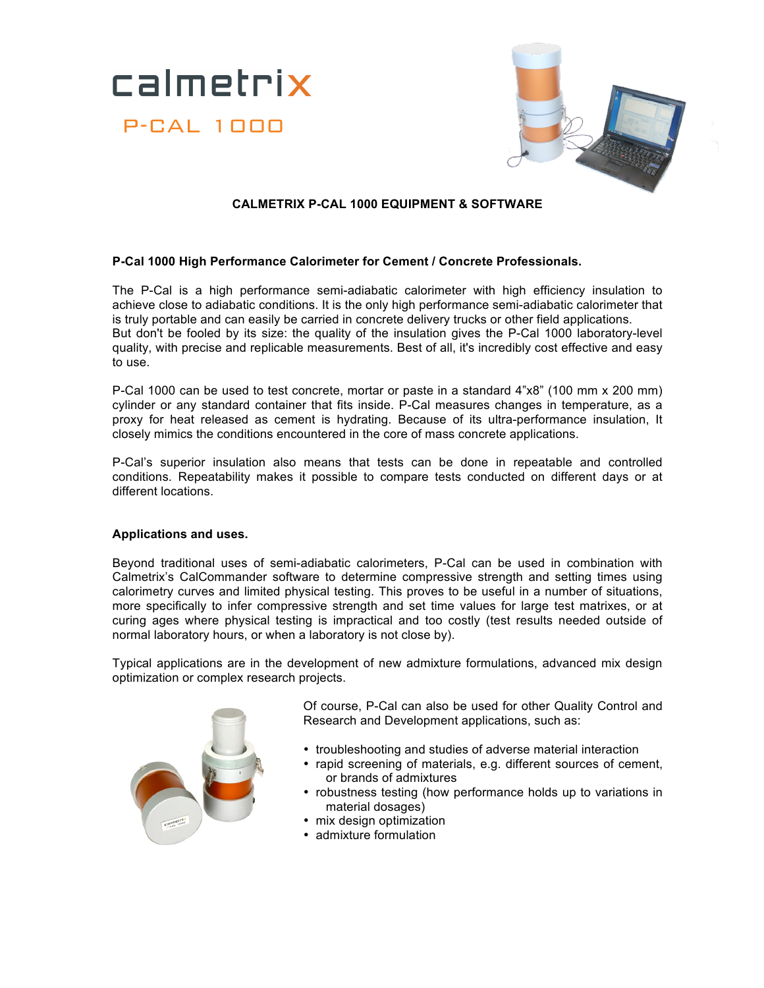



## **CALMETRIX P-CAL 1000 EQUIPMENT & SOFTWARE**

## **P-Cal 1000 High Performance Calorimeter for Cement / Concrete Professionals.**

The P-Cal is a high performance semi-adiabatic calorimeter with high efficiency insulation to achieve close to adiabatic conditions. It is the only high performance semi-adiabatic calorimeter that is truly portable and can easily be carried in concrete delivery trucks or other field applications. But don't be fooled by its size: the quality of the insulation gives the P-Cal 1000 laboratory-level quality, with precise and replicable measurements. Best of all, it's incredibly cost effective and easy to use.

P-Cal 1000 can be used to test concrete, mortar or paste in a standard 4"x8" (100 mm x 200 mm) cylinder or any standard container that fits inside. P-Cal measures changes in temperature, as a proxy for heat released as cement is hydrating. Because of its ultra-performance insulation, It closely mimics the conditions encountered in the core of mass concrete applications.

P-Cal's superior insulation also means that tests can be done in repeatable and controlled conditions. Repeatability makes it possible to compare tests conducted on different days or at different locations.

## **Applications and uses.**

Beyond traditional uses of semi-adiabatic calorimeters, P-Cal can be used in combination with Calmetrix's CalCommander software to determine compressive strength and setting times using calorimetry curves and limited physical testing. This proves to be useful in a number of situations, more specifically to infer compressive strength and set time values for large test matrixes, or at curing ages where physical testing is impractical and too costly (test results needed outside of normal laboratory hours, or when a laboratory is not close by).

Typical applications are in the development of new admixture formulations, advanced mix design optimization or complex research projects.



Of course, P-Cal can also be used for other Quality Control and Research and Development applications, such as:

- troubleshooting and studies of adverse material interaction
- rapid screening of materials, e.g. different sources of cement, or brands of admixtures
- robustness testing (how performance holds up to variations in material dosages)
- mix design optimization
- admixture formulation